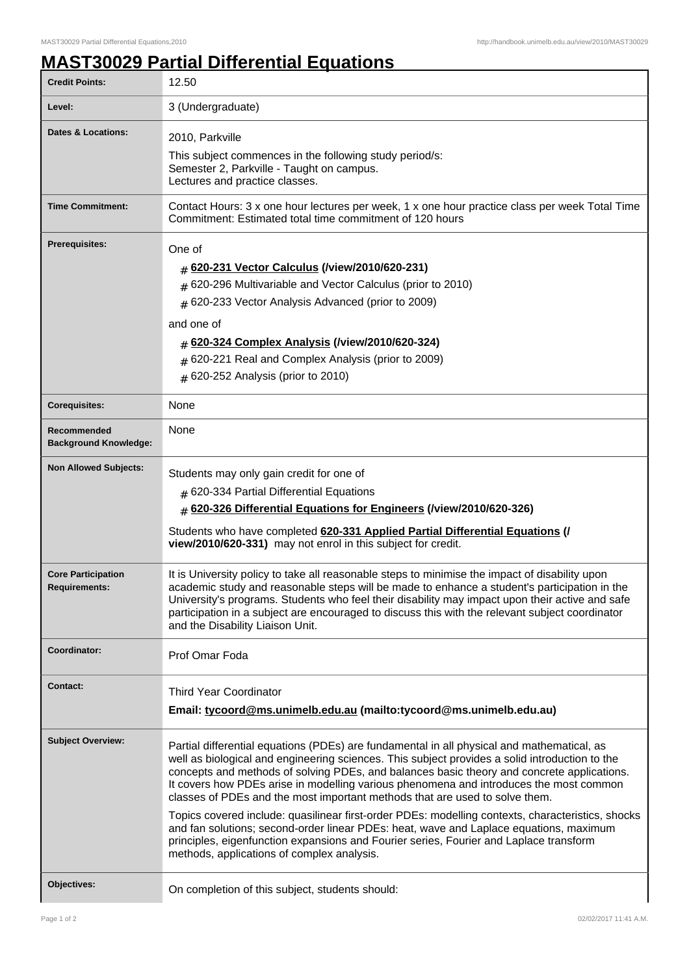## **MAST30029 Partial Differential Equations**

| <b>Credit Points:</b>                             | 12.50                                                                                                                                                                                                                                                                                                                                                                                                                                                                                                                                                                                                                                                                                                                                                                                                      |
|---------------------------------------------------|------------------------------------------------------------------------------------------------------------------------------------------------------------------------------------------------------------------------------------------------------------------------------------------------------------------------------------------------------------------------------------------------------------------------------------------------------------------------------------------------------------------------------------------------------------------------------------------------------------------------------------------------------------------------------------------------------------------------------------------------------------------------------------------------------------|
| Level:                                            | 3 (Undergraduate)                                                                                                                                                                                                                                                                                                                                                                                                                                                                                                                                                                                                                                                                                                                                                                                          |
| <b>Dates &amp; Locations:</b>                     | 2010, Parkville<br>This subject commences in the following study period/s:<br>Semester 2, Parkville - Taught on campus.<br>Lectures and practice classes.                                                                                                                                                                                                                                                                                                                                                                                                                                                                                                                                                                                                                                                  |
| <b>Time Commitment:</b>                           | Contact Hours: 3 x one hour lectures per week, 1 x one hour practice class per week Total Time<br>Commitment: Estimated total time commitment of 120 hours                                                                                                                                                                                                                                                                                                                                                                                                                                                                                                                                                                                                                                                 |
| <b>Prerequisites:</b>                             | One of<br># 620-231 Vector Calculus (/view/2010/620-231)<br>620-296 Multivariable and Vector Calculus (prior to 2010)<br>#<br># 620-233 Vector Analysis Advanced (prior to 2009)<br>and one of<br># 620-324 Complex Analysis (/view/2010/620-324)<br># 620-221 Real and Complex Analysis (prior to 2009)<br>$#$ 620-252 Analysis (prior to 2010)                                                                                                                                                                                                                                                                                                                                                                                                                                                           |
| <b>Corequisites:</b>                              | None                                                                                                                                                                                                                                                                                                                                                                                                                                                                                                                                                                                                                                                                                                                                                                                                       |
| Recommended<br><b>Background Knowledge:</b>       | None                                                                                                                                                                                                                                                                                                                                                                                                                                                                                                                                                                                                                                                                                                                                                                                                       |
| <b>Non Allowed Subjects:</b>                      | Students may only gain credit for one of<br>$#$ 620-334 Partial Differential Equations<br># 620-326 Differential Equations for Engineers (/view/2010/620-326)<br>Students who have completed 620-331 Applied Partial Differential Equations (/<br>view/2010/620-331) may not enrol in this subject for credit.                                                                                                                                                                                                                                                                                                                                                                                                                                                                                             |
| <b>Core Participation</b><br><b>Requirements:</b> | It is University policy to take all reasonable steps to minimise the impact of disability upon<br>academic study and reasonable steps will be made to enhance a student's participation in the<br>University's programs. Students who feel their disability may impact upon their active and safe<br>participation in a subject are encouraged to discuss this with the relevant subject coordinator<br>and the Disability Liaison Unit.                                                                                                                                                                                                                                                                                                                                                                   |
| Coordinator:                                      | Prof Omar Foda                                                                                                                                                                                                                                                                                                                                                                                                                                                                                                                                                                                                                                                                                                                                                                                             |
| <b>Contact:</b>                                   | <b>Third Year Coordinator</b><br>Email: tycoord@ms.unimelb.edu.au (mailto:tycoord@ms.unimelb.edu.au)                                                                                                                                                                                                                                                                                                                                                                                                                                                                                                                                                                                                                                                                                                       |
| <b>Subject Overview:</b>                          | Partial differential equations (PDEs) are fundamental in all physical and mathematical, as<br>well as biological and engineering sciences. This subject provides a solid introduction to the<br>concepts and methods of solving PDEs, and balances basic theory and concrete applications.<br>It covers how PDEs arise in modelling various phenomena and introduces the most common<br>classes of PDEs and the most important methods that are used to solve them.<br>Topics covered include: quasilinear first-order PDEs: modelling contexts, characteristics, shocks<br>and fan solutions; second-order linear PDEs: heat, wave and Laplace equations, maximum<br>principles, eigenfunction expansions and Fourier series, Fourier and Laplace transform<br>methods, applications of complex analysis. |
| Objectives:                                       | On completion of this subject, students should:                                                                                                                                                                                                                                                                                                                                                                                                                                                                                                                                                                                                                                                                                                                                                            |